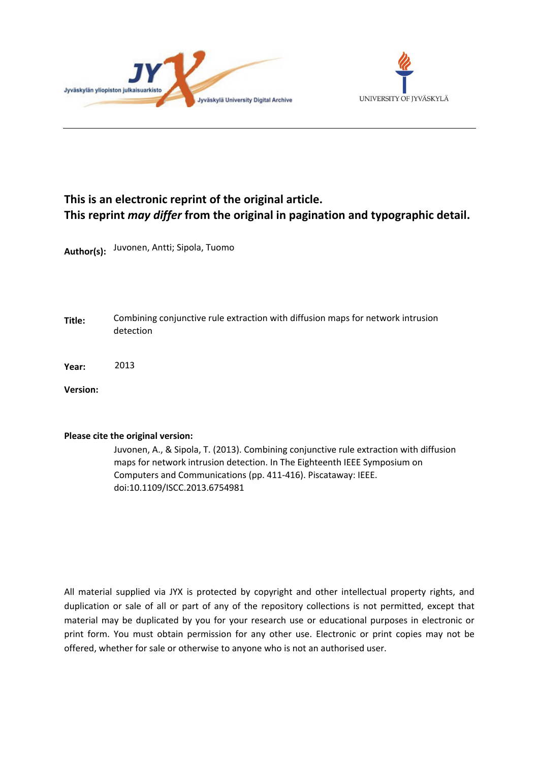



## **This is an electronic reprint of the original article. This reprint** *may differ* **from the original in pagination and typographic detail.**

**Author(s):**  Juvonen, Antti; Sipola, Tuomo

**Title:** Combining conjunctive rule extraction with diffusion maps for network intrusion detection

**Year:**  2013

**Version:**

### **Please cite the original version:**

Juvonen, A., & Sipola, T. (2013). Combining conjunctive rule extraction with diffusion maps for network intrusion detection. In The Eighteenth IEEE Symposium on Computers and Communications (pp. 411-416). Piscataway: IEEE. doi:10.1109/ISCC.2013.6754981

All material supplied via JYX is protected by copyright and other intellectual property rights, and duplication or sale of all or part of any of the repository collections is not permitted, except that material may be duplicated by you for your research use or educational purposes in electronic or print form. You must obtain permission for any other use. Electronic or print copies may not be offered, whether for sale or otherwise to anyone who is not an authorised user.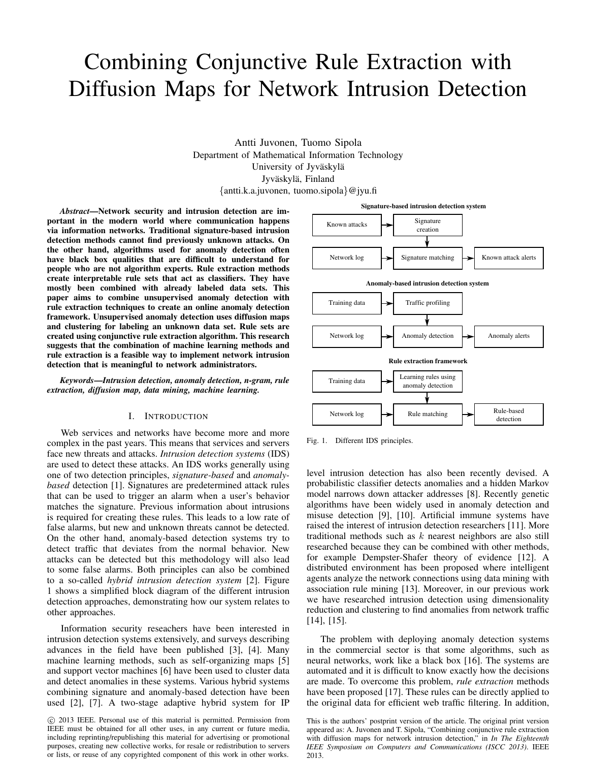# Combining Conjunctive Rule Extraction with Diffusion Maps for Network Intrusion Detection

Antti Juvonen, Tuomo Sipola Department of Mathematical Information Technology University of Jyväskylä Jyväskylä, Finland {antti.k.a.juvonen, tuomo.sipola}@jyu.fi

*Abstract*—Network security and intrusion detection are important in the modern world where communication happens via information networks. Traditional signature-based intrusion detection methods cannot find previously unknown attacks. On the other hand, algorithms used for anomaly detection often have black box qualities that are difficult to understand for people who are not algorithm experts. Rule extraction methods create interpretable rule sets that act as classifiers. They have mostly been combined with already labeled data sets. This paper aims to combine unsupervised anomaly detection with rule extraction techniques to create an online anomaly detection framework. Unsupervised anomaly detection uses diffusion maps and clustering for labeling an unknown data set. Rule sets are created using conjunctive rule extraction algorithm. This research suggests that the combination of machine learning methods and rule extraction is a feasible way to implement network intrusion detection that is meaningful to network administrators.

*Keywords*—*Intrusion detection, anomaly detection, n-gram, rule extraction, diffusion map, data mining, machine learning.*

#### I. INTRODUCTION

Web services and networks have become more and more complex in the past years. This means that services and servers face new threats and attacks. *Intrusion detection systems* (IDS) are used to detect these attacks. An IDS works generally using one of two detection principles, *signature-based* and *anomalybased* detection [1]. Signatures are predetermined attack rules that can be used to trigger an alarm when a user's behavior matches the signature. Previous information about intrusions is required for creating these rules. This leads to a low rate of false alarms, but new and unknown threats cannot be detected. On the other hand, anomaly-based detection systems try to detect traffic that deviates from the normal behavior. New attacks can be detected but this methodology will also lead to some false alarms. Both principles can also be combined to a so-called *hybrid intrusion detection system* [2]. Figure 1 shows a simplified block diagram of the different intrusion detection approaches, demonstrating how our system relates to other approaches.

Information security reseachers have been interested in intrusion detection systems extensively, and surveys describing advances in the field have been published [3], [4]. Many machine learning methods, such as self-organizing maps [5] and support vector machines [6] have been used to cluster data and detect anomalies in these systems. Various hybrid systems combining signature and anomaly-based detection have been used [2], [7]. A two-stage adaptive hybrid system for IP

 c 2013 IEEE. Personal use of this material is permitted. Permission from IEEE must be obtained for all other uses, in any current or future media, including reprinting/republishing this material for advertising or promotional purposes, creating new collective works, for resale or redistribution to servers or lists, or reuse of any copyrighted component of this work in other works.



Fig. 1. Different IDS principles.

level intrusion detection has also been recently devised. A probabilistic classifier detects anomalies and a hidden Markov model narrows down attacker addresses [8]. Recently genetic algorithms have been widely used in anomaly detection and misuse detection [9], [10]. Artificial immune systems have raised the interest of intrusion detection researchers [11]. More traditional methods such as  $k$  nearest neighbors are also still researched because they can be combined with other methods, for example Dempster-Shafer theory of evidence [12]. A distributed environment has been proposed where intelligent agents analyze the network connections using data mining with association rule mining [13]. Moreover, in our previous work we have researched intrusion detection using dimensionality reduction and clustering to find anomalies from network traffic [14], [15].

The problem with deploying anomaly detection systems in the commercial sector is that some algorithms, such as neural networks, work like a black box [16]. The systems are automated and it is difficult to know exactly how the decisions are made. To overcome this problem, *rule extraction* methods have been proposed [17]. These rules can be directly applied to the original data for efficient web traffic filtering. In addition,

This is the authors' postprint version of the article. The original print version appeared as: A. Juvonen and T. Sipola, "Combining conjunctive rule extraction with diffusion maps for network intrusion detection," in *In The Eighteenth IEEE Symposium on Computers and Communications (ISCC 2013)*. IEEE 2013.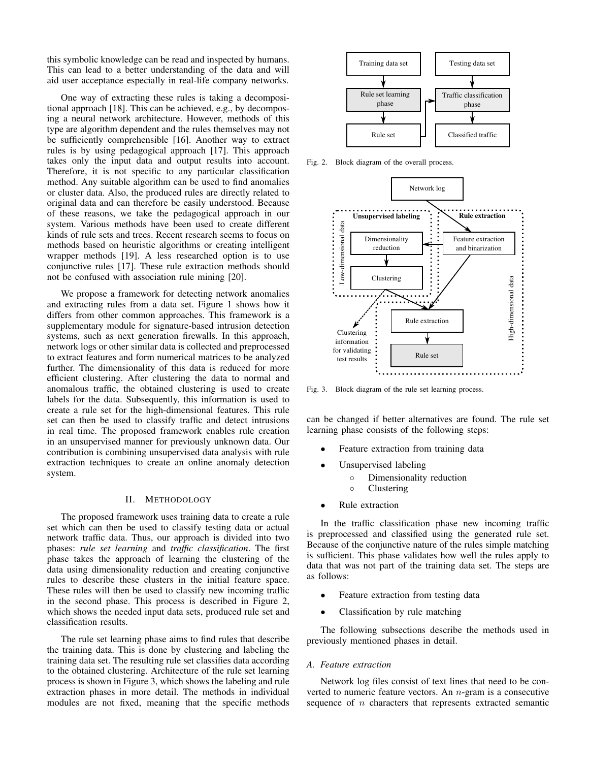this symbolic knowledge can be read and inspected by humans. This can lead to a better understanding of the data and will aid user acceptance especially in real-life company networks.

One way of extracting these rules is taking a decompositional approach [18]. This can be achieved, e.g., by decomposing a neural network architecture. However, methods of this type are algorithm dependent and the rules themselves may not be sufficiently comprehensible [16]. Another way to extract rules is by using pedagogical approach [17]. This approach takes only the input data and output results into account. Therefore, it is not specific to any particular classification method. Any suitable algorithm can be used to find anomalies or cluster data. Also, the produced rules are directly related to original data and can therefore be easily understood. Because of these reasons, we take the pedagogical approach in our system. Various methods have been used to create different kinds of rule sets and trees. Recent research seems to focus on methods based on heuristic algorithms or creating intelligent wrapper methods [19]. A less researched option is to use conjunctive rules [17]. These rule extraction methods should not be confused with association rule mining [20].

We propose a framework for detecting network anomalies and extracting rules from a data set. Figure 1 shows how it differs from other common approaches. This framework is a supplementary module for signature-based intrusion detection systems, such as next generation firewalls. In this approach, network logs or other similar data is collected and preprocessed to extract features and form numerical matrices to be analyzed further. The dimensionality of this data is reduced for more efficient clustering. After clustering the data to normal and anomalous traffic, the obtained clustering is used to create labels for the data. Subsequently, this information is used to create a rule set for the high-dimensional features. This rule set can then be used to classify traffic and detect intrusions in real time. The proposed framework enables rule creation in an unsupervised manner for previously unknown data. Our contribution is combining unsupervised data analysis with rule extraction techniques to create an online anomaly detection system. One way of exercising these rules is taking a decoration in the specific methods are not fixed in the specific methods in the specific methods is by solution to the specific methods in the specific methods is the specific

#### II. METHODOLOGY

The proposed framework uses training data to create a rule set which can then be used to classify testing data or actual network traffic data. Thus, our approach is divided into two phases: *rule set learning* and *traffic classification*. The first phase takes the approach of learning the clustering of the data using dimensionality reduction and creating conjunctive rules to describe these clusters in the initial feature space. These rules will then be used to classify new incoming traffic in the second phase. This process is described in Figure 2, which shows the needed input data sets, produced rule set and classification results.

The rule set learning phase aims to find rules that describe the training data. This is done by clustering and labeling the training data set. The resulting rule set classifies data according to the obtained clustering. Architecture of the rule set learning process is shown in Figure 3, which shows the labeling and rule extraction phases in more detail. The methods in individual



Fig. 2. Block diagram of the overall process.



Fig. 3. Block diagram of the rule set learning process.

can be changed if better alternatives are found. The rule set learning phase consists of the following steps:

- Feature extraction from training data
- Unsupervised labeling
	- Dimensionality reduction
	- Clustering
- Rule extraction

In the traffic classification phase new incoming traffic is preprocessed and classified using the generated rule set. Because of the conjunctive nature of the rules simple matching is sufficient. This phase validates how well the rules apply to data that was not part of the training data set. The steps are as follows:

- Feature extraction from testing data
- Classification by rule matching

The following subsections describe the methods used in previously mentioned phases in detail.

#### *A. Feature extraction*

Network log files consist of text lines that need to be converted to numeric feature vectors. An  $n$ -gram is a consecutive sequence of  $n$  characters that represents extracted semantic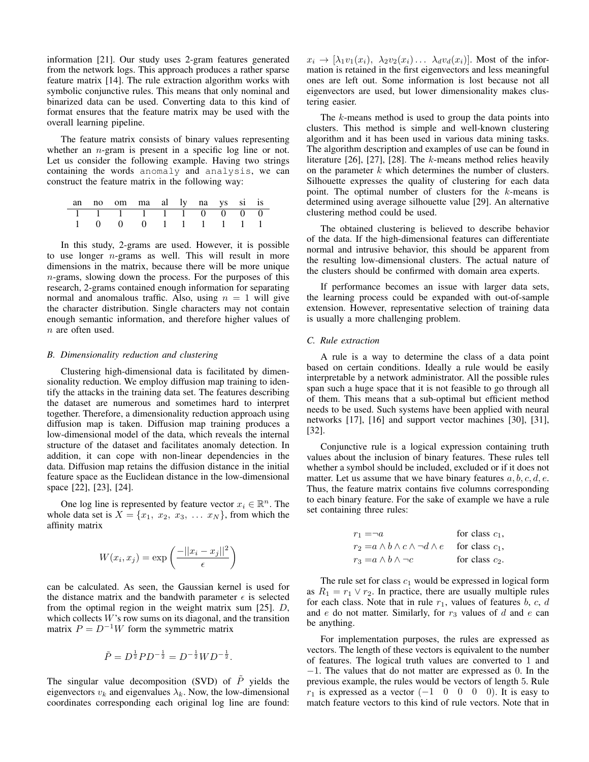information [21]. Our study uses 2-gram features generated from the network logs. This approach produces a rather sparse feature matrix [14]. The rule extraction algorithm works with symbolic conjunctive rules. This means that only nominal and binarized data can be used. Converting data to this kind of format ensures that the feature matrix may be used with the overall learning pipeline.

The feature matrix consists of binary values representing whether an *n*-gram is present in a specific log line or not. Let us consider the following example. Having two strings containing the words anomaly and analysis, we can construct the feature matrix in the following way:

|  | an no om ma al ly na ys si is |  |  |  |  |
|--|-------------------------------|--|--|--|--|
|  | 1 1 1 1 1 1 0 0 0 0           |  |  |  |  |
|  | 1 0 0 0 1 1 1 1 1 1           |  |  |  |  |

In this study, 2-grams are used. However, it is possible to use longer n-grams as well. This will result in more dimensions in the matrix, because there will be more unique  $n$ -grams, slowing down the process. For the purposes of this research, 2-grams contained enough information for separating normal and anomalous traffic. Also, using  $n = 1$  will give the character distribution. Single characters may not contain enough semantic information, and therefore higher values of n are often used.

#### *B. Dimensionality reduction and clustering*

Clustering high-dimensional data is facilitated by dimensionality reduction. We employ diffusion map training to identify the attacks in the training data set. The features describing the dataset are numerous and sometimes hard to interpret together. Therefore, a dimensionality reduction approach using diffusion map is taken. Diffusion map training produces a low-dimensional model of the data, which reveals the internal structure of the dataset and facilitates anomaly detection. In addition, it can cope with non-linear dependencies in the data. Diffusion map retains the diffusion distance in the initial feature space as the Euclidean distance in the low-dimensional space [22], [23], [24].

One log line is represented by feature vector  $x_i \in \mathbb{R}^n$ . The whole data set is  $X = \{x_1, x_2, x_3, \ldots, x_N\}$ , from which the affinity matrix

$$
W(x_i, x_j) = \exp\left(\frac{-||x_i - x_j||^2}{\epsilon}\right)
$$

can be calculated. As seen, the Gaussian kernel is used for the distance matrix and the bandwith parameter  $\epsilon$  is selected from the optimal region in the weight matrix sum [25]. D, which collects  $W$ 's row sums on its diagonal, and the transition matrix  $P = D^{-1}W$  form the symmetric matrix

$$
\tilde{P} = D^{\frac{1}{2}} P D^{-\frac{1}{2}} = D^{-\frac{1}{2}} W D^{-\frac{1}{2}}.
$$

The singular value decomposition (SVD) of  $\tilde{P}$  yields the eigenvectors  $v_k$  and eigenvalues  $\lambda_k$ . Now, the low-dimensional coordinates corresponding each original log line are found:  $x_i \rightarrow [\lambda_1 v_1(x_i), \lambda_2 v_2(x_i) \dots \lambda_d v_d(x_i)].$  Most of the information is retained in the first eigenvectors and less meaningful ones are left out. Some information is lost because not all eigenvectors are used, but lower dimensionality makes clustering easier.

The  $k$ -means method is used to group the data points into clusters. This method is simple and well-known clustering algorithm and it has been used in various data mining tasks. The algorithm description and examples of use can be found in literature [26], [27], [28]. The k-means method relies heavily on the parameter  $k$  which determines the number of clusters. Silhouette expresses the quality of clustering for each data point. The optimal number of clusters for the k-means is determined using average silhouette value [29]. An alternative clustering method could be used.

The obtained clustering is believed to describe behavior of the data. If the high-dimensional features can differentiate normal and intrusive behavior, this should be apparent from the resulting low-dimensional clusters. The actual nature of the clusters should be confirmed with domain area experts.

If performance becomes an issue with larger data sets, the learning process could be expanded with out-of-sample extension. However, representative selection of training data is usually a more challenging problem.

#### *C. Rule extraction*

A rule is a way to determine the class of a data point based on certain conditions. Ideally a rule would be easily interpretable by a network administrator. All the possible rules span such a huge space that it is not feasible to go through all of them. This means that a sub-optimal but efficient method needs to be used. Such systems have been applied with neural networks [17], [16] and support vector machines [30], [31], [32].

Conjunctive rule is a logical expression containing truth values about the inclusion of binary features. These rules tell whether a symbol should be included, excluded or if it does not matter. Let us assume that we have binary features  $a, b, c, d, e$ . Thus, the feature matrix contains five columns corresponding to each binary feature. For the sake of example we have a rule set containing three rules:

$$
r_1 = \neg a
$$
 for class  $c_1$ ,  
\n
$$
r_2 = a \land b \land c \land \neg d \land e
$$
 for class  $c_1$ ,  
\n
$$
r_3 = a \land b \land \neg c
$$
 for class  $c_2$ .

The rule set for class  $c_1$  would be expressed in logical form as  $R_1 = r_1 \vee r_2$ . In practice, there are usually multiple rules for each class. Note that in rule  $r_1$ , values of features b, c, d and  $e$  do not matter. Similarly, for  $r_3$  values of  $d$  and  $e$  can be anything.

For implementation purposes, the rules are expressed as vectors. The length of these vectors is equivalent to the number of features. The logical truth values are converted to 1 and −1. The values that do not matter are expressed as 0. In the previous example, the rules would be vectors of length 5. Rule  $r_1$  is expressed as a vector (-1 0 0 0 0). It is easy to match feature vectors to this kind of rule vectors. Note that in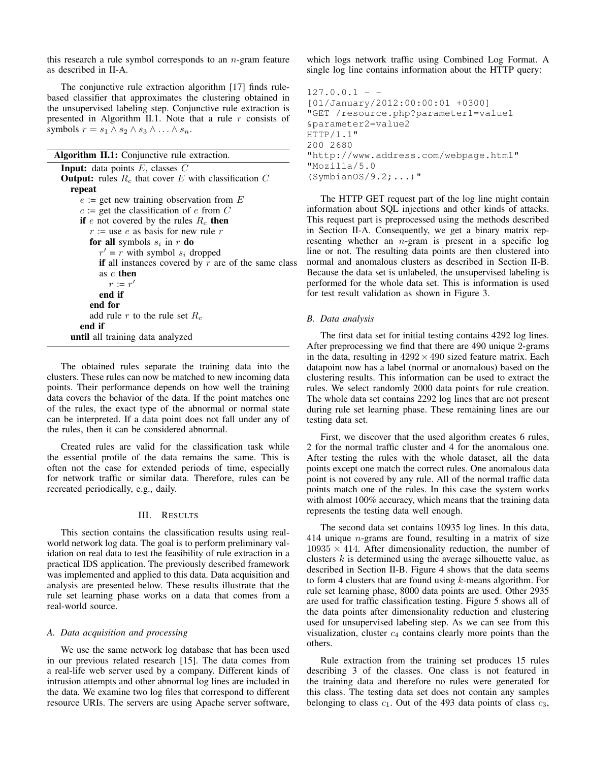this research a rule symbol corresponds to an  $n$ -gram feature as described in II-A.

The conjunctive rule extraction algorithm [17] finds rulebased classifier that approximates the clustering obtained in the unsupervised labeling step. Conjunctive rule extraction is presented in Algorithm II.1. Note that a rule  $r$  consists of symbols  $r = s_1 \wedge s_2 \wedge s_3 \wedge \ldots \wedge s_n$ .

Algorithm II.1: Conjunctive rule extraction. **Input:** data points  $E$ , classes  $C$ **Output:** rules  $R_c$  that cover E with classification  $C$ repeat  $e$  := get new training observation from  $E$  $c :=$  get the classification of e from C if e not covered by the rules  $R_c$  then  $r :=$  use e as basis for new rule r **for all** symbols  $s_i$  in  $r$  **do**  $r' = r$  with symbol  $s_i$  dropped if all instances covered by  $r$  are of the same class as e then  $r := r'$ end if end for add rule  $r$  to the rule set  $R_c$ end if until all training data analyzed

The obtained rules separate the training data into the clusters. These rules can now be matched to new incoming data points. Their performance depends on how well the training data covers the behavior of the data. If the point matches one of the rules, the exact type of the abnormal or normal state can be interpreted. If a data point does not fall under any of the rules, then it can be considered abnormal.

Created rules are valid for the classification task while the essential profile of the data remains the same. This is often not the case for extended periods of time, especially for network traffic or similar data. Therefore, rules can be recreated periodically, e.g., daily.

#### III. RESULTS

This section contains the classification results using realworld network log data. The goal is to perform preliminary validation on real data to test the feasibility of rule extraction in a practical IDS application. The previously described framework was implemented and applied to this data. Data acquisition and analysis are presented below. These results illustrate that the rule set learning phase works on a data that comes from a real-world source.

#### *A. Data acquisition and processing*

We use the same network log database that has been used in our previous related research [15]. The data comes from a real-life web server used by a company. Different kinds of intrusion attempts and other abnormal log lines are included in the data. We examine two log files that correspond to different resource URIs. The servers are using Apache server software,

which logs network traffic using Combined Log Format. A single log line contains information about the HTTP query:

```
127.0.0.1 - -[01/January/2012:00:00:01 +0300]
"GET /resource.php?parameter1=value1
&parameter2=value2
HTTP/1.1"
200 2680
"http://www.address.com/webpage.html"
"Mozilla/5.0
(SymbianOS/9.2;...)"
```
The HTTP GET request part of the log line might contain information about SQL injections and other kinds of attacks. This request part is preprocessed using the methods described in Section II-A. Consequently, we get a binary matrix representing whether an n-gram is present in a specific log line or not. The resulting data points are then clustered into normal and anomalous clusters as described in Section II-B. Because the data set is unlabeled, the unsupervised labeling is performed for the whole data set. This is information is used for test result validation as shown in Figure 3.

#### *B. Data analysis*

The first data set for initial testing contains 4292 log lines. After preprocessing we find that there are 490 unique 2-grams in the data, resulting in  $4292 \times 490$  sized feature matrix. Each datapoint now has a label (normal or anomalous) based on the clustering results. This information can be used to extract the rules. We select randomly 2000 data points for rule creation. The whole data set contains 2292 log lines that are not present during rule set learning phase. These remaining lines are our testing data set.

First, we discover that the used algorithm creates 6 rules, 2 for the normal traffic cluster and 4 for the anomalous one. After testing the rules with the whole dataset, all the data points except one match the correct rules. One anomalous data point is not covered by any rule. All of the normal traffic data points match one of the rules. In this case the system works with almost 100% accuracy, which means that the training data represents the testing data well enough.

The second data set contains 10935 log lines. In this data, 414 unique  $n$ -grams are found, resulting in a matrix of size  $10935 \times 414$ . After dimensionality reduction, the number of clusters  $k$  is determined using the average silhouette value, as described in Section II-B. Figure 4 shows that the data seems to form 4 clusters that are found using  $k$ -means algorithm. For rule set learning phase, 8000 data points are used. Other 2935 are used for traffic classification testing. Figure 5 shows all of the data points after dimensionality reduction and clustering used for unsupervised labeling step. As we can see from this visualization, cluster  $c_4$  contains clearly more points than the others.

Rule extraction from the training set produces 15 rules describing 3 of the classes. One class is not featured in the training data and therefore no rules were generated for this class. The testing data set does not contain any samples belonging to class  $c_1$ . Out of the 493 data points of class  $c_3$ ,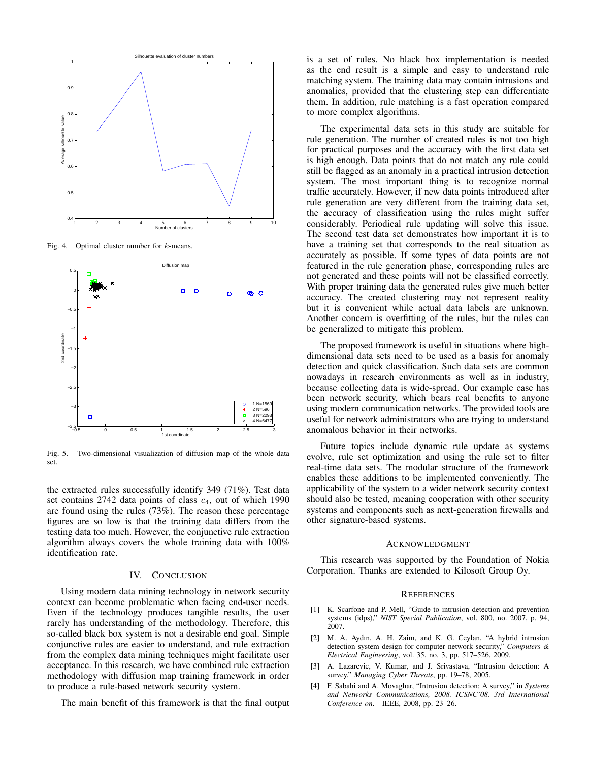

Fig. 4. Optimal cluster number for k-means.



Fig. 5. Two-dimensional visualization of diffusion map of the whole data set.

the extracted rules successfully identify 349 (71%). Test data set contains  $2742$  data points of class  $c_4$ , out of which 1990 are found using the rules (73%). The reason these percentage figures are so low is that the training data differs from the testing data too much. However, the conjunctive rule extraction algorithm always covers the whole training data with 100% identification rate.

#### IV. CONCLUSION

Using modern data mining technology in network security context can become problematic when facing end-user needs. Even if the technology produces tangible results, the user rarely has understanding of the methodology. Therefore, this so-called black box system is not a desirable end goal. Simple conjunctive rules are easier to understand, and rule extraction from the complex data mining techniques might facilitate user acceptance. In this research, we have combined rule extraction methodology with diffusion map training framework in order to produce a rule-based network security system.

The main benefit of this framework is that the final output

is a set of rules. No black box implementation is needed as the end result is a simple and easy to understand rule matching system. The training data may contain intrusions and anomalies, provided that the clustering step can differentiate them. In addition, rule matching is a fast operation compared to more complex algorithms.

The experimental data sets in this study are suitable for rule generation. The number of created rules is not too high for practical purposes and the accuracy with the first data set is high enough. Data points that do not match any rule could still be flagged as an anomaly in a practical intrusion detection system. The most important thing is to recognize normal traffic accurately. However, if new data points introduced after rule generation are very different from the training data set, the accuracy of classification using the rules might suffer considerably. Periodical rule updating will solve this issue. The second test data set demonstrates how important it is to have a training set that corresponds to the real situation as accurately as possible. If some types of data points are not featured in the rule generation phase, corresponding rules are not generated and these points will not be classified correctly. With proper training data the generated rules give much better accuracy. The created clustering may not represent reality but it is convenient while actual data labels are unknown. Another concern is overfitting of the rules, but the rules can be generalized to mitigate this problem.

The proposed framework is useful in situations where highdimensional data sets need to be used as a basis for anomaly detection and quick classification. Such data sets are common nowadays in research environments as well as in industry, because collecting data is wide-spread. Our example case has been network security, which bears real benefits to anyone using modern communication networks. The provided tools are useful for network administrators who are trying to understand anomalous behavior in their networks.

Future topics include dynamic rule update as systems evolve, rule set optimization and using the rule set to filter real-time data sets. The modular structure of the framework enables these additions to be implemented conveniently. The applicability of the system to a wider network security context should also be tested, meaning cooperation with other security systems and components such as next-generation firewalls and other signature-based systems.

#### ACKNOWLEDGMENT

This research was supported by the Foundation of Nokia Corporation. Thanks are extended to Kilosoft Group Oy.

#### **REFERENCES**

- [1] K. Scarfone and P. Mell, "Guide to intrusion detection and prevention systems (idps)," *NIST Special Publication*, vol. 800, no. 2007, p. 94, 2007.
- [2] M. A. Aydın, A. H. Zaim, and K. G. Ceylan, "A hybrid intrusion detection system design for computer network security," *Computers & Electrical Engineering*, vol. 35, no. 3, pp. 517–526, 2009.
- [3] A. Lazarevic, V. Kumar, and J. Srivastava, "Intrusion detection: A survey," *Managing Cyber Threats*, pp. 19–78, 2005.
- [4] F. Sabahi and A. Movaghar, "Intrusion detection: A survey," in *Systems and Networks Communications, 2008. ICSNC'08. 3rd International Conference on*. IEEE, 2008, pp. 23–26.